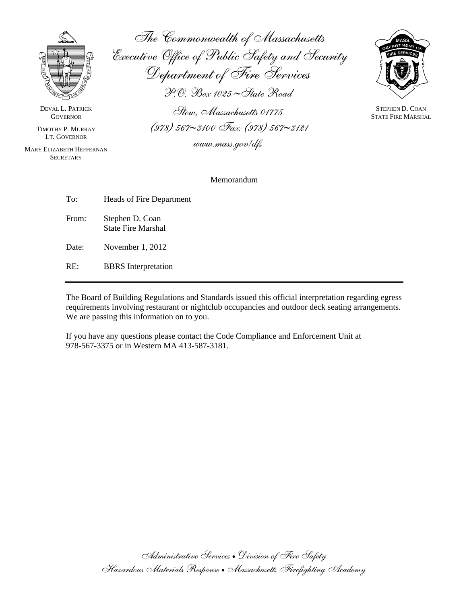

DEVAL L. PATRICK **GOVERNOR** 

TIMOTHY P. MURRAY LT. GOVERNOR

MARY ELIZABETH HEFFERNAN **SECRETARY** 

The Commonwealth of Massachusetts Executive Office of Public Safety and Security Department of Fire Services P.O. Box 1025 ∼State Road Stow, Massachusetts 01775



STEPHEN D. COAN STATE FIRE MARSHAL

www.mass.gov/dfs

(978) 567∼3100 Fax: (978) 567∼3121

#### Memorandum

| To:   | Heads of Fire Department                     |
|-------|----------------------------------------------|
| From: | Stephen D. Coan<br><b>State Fire Marshal</b> |
| Date: | November 1, 2012                             |

RE: BBRS Interpretation

The Board of Building Regulations and Standards issued this official interpretation regarding egress requirements involving restaurant or nightclub occupancies and outdoor deck seating arrangements. We are passing this information on to you.

If you have any questions please contact the Code Compliance and Enforcement Unit at 978-567-3375 or in Western MA 413-587-3181.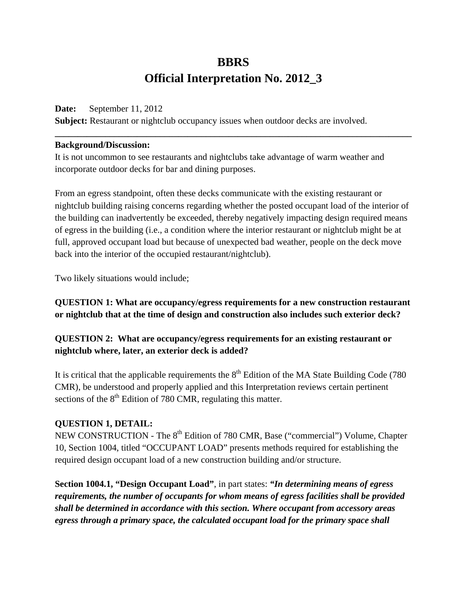# **BBRS Official Interpretation No. 2012\_3**

**\_\_\_\_\_\_\_\_\_\_\_\_\_\_\_\_\_\_\_\_\_\_\_\_\_\_\_\_\_\_\_\_\_\_\_\_\_\_\_\_\_\_\_\_\_\_\_\_\_\_\_\_\_\_\_\_\_\_\_\_\_\_\_\_\_\_\_\_\_\_\_\_\_\_\_\_\_\_**

#### **Date:** September 11, 2012

**Subject:** Restaurant or nightclub occupancy issues when outdoor decks are involved.

#### **Background/Discussion:**

It is not uncommon to see restaurants and nightclubs take advantage of warm weather and incorporate outdoor decks for bar and dining purposes.

From an egress standpoint, often these decks communicate with the existing restaurant or nightclub building raising concerns regarding whether the posted occupant load of the interior of the building can inadvertently be exceeded, thereby negatively impacting design required means of egress in the building (i.e., a condition where the interior restaurant or nightclub might be at full, approved occupant load but because of unexpected bad weather, people on the deck move back into the interior of the occupied restaurant/nightclub).

Two likely situations would include;

**QUESTION 1: What are occupancy/egress requirements for a new construction restaurant or nightclub that at the time of design and construction also includes such exterior deck?** 

## **QUESTION 2: What are occupancy/egress requirements for an existing restaurant or nightclub where, later, an exterior deck is added?**

It is critical that the applicable requirements the  $8<sup>th</sup>$  Edition of the MA State Building Code (780) CMR), be understood and properly applied and this Interpretation reviews certain pertinent sections of the  $8<sup>th</sup>$  Edition of 780 CMR, regulating this matter.

### **QUESTION 1, DETAIL:**

NEW CONSTRUCTION - The 8<sup>th</sup> Edition of 780 CMR, Base ("commercial") Volume, Chapter 10, Section 1004, titled "OCCUPANT LOAD" presents methods required for establishing the required design occupant load of a new construction building and/or structure.

**Section 1004.1, "Design Occupant Load"**, in part states: *"In determining means of egress requirements, the number of occupants for whom means of egress facilities shall be provided shall be determined in accordance with this section. Where occupant from accessory areas egress through a primary space, the calculated occupant load for the primary space shall*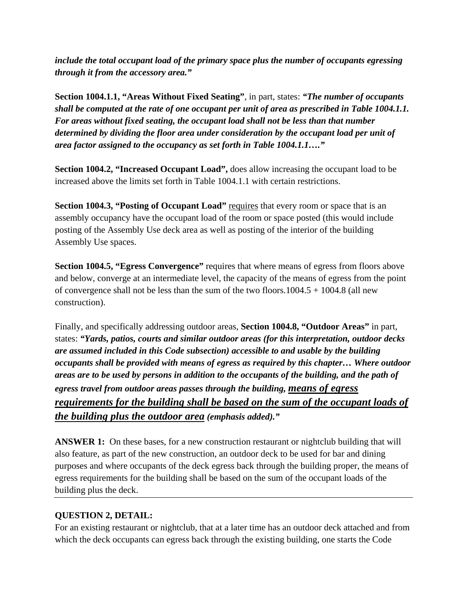*include the total occupant load of the primary space plus the number of occupants egressing through it from the accessory area."*

**Section 1004.1.1, "Areas Without Fixed Seating"**, in part, states: *"The number of occupants shall be computed at the rate of one occupant per unit of area as prescribed in Table 1004.1.1. For areas without fixed seating, the occupant load shall not be less than that number determined by dividing the floor area under consideration by the occupant load per unit of area factor assigned to the occupancy as set forth in Table 1004.1.1…."* 

**Section 1004.2, "Increased Occupant Load",** does allow increasing the occupant load to be increased above the limits set forth in Table 1004.1.1 with certain restrictions.

**Section 1004.3, "Posting of Occupant Load"** requires that every room or space that is an assembly occupancy have the occupant load of the room or space posted (this would include posting of the Assembly Use deck area as well as posting of the interior of the building Assembly Use spaces.

**Section 1004.5, "Egress Convergence"** requires that where means of egress from floors above and below, converge at an intermediate level, the capacity of the means of egress from the point of convergence shall not be less than the sum of the two floors.1004.5 + 1004.8 (all new construction).

Finally, and specifically addressing outdoor areas, **Section 1004.8, "Outdoor Areas"** in part, states: *"Yards, patios, courts and similar outdoor areas (for this interpretation, outdoor decks are assumed included in this Code subsection) accessible to and usable by the building occupants shall be provided with means of egress as required by this chapter… Where outdoor areas are to be used by persons in addition to the occupants of the building, and the path of egress travel from outdoor areas passes through the building, means of egress requirements for the building shall be based on the sum of the occupant loads of the building plus the outdoor area (emphasis added)."* 

**ANSWER 1:** On these bases, for a new construction restaurant or nightclub building that will also feature, as part of the new construction, an outdoor deck to be used for bar and dining purposes and where occupants of the deck egress back through the building proper, the means of egress requirements for the building shall be based on the sum of the occupant loads of the building plus the deck.

## **QUESTION 2, DETAIL:**

For an existing restaurant or nightclub, that at a later time has an outdoor deck attached and from which the deck occupants can egress back through the existing building, one starts the Code